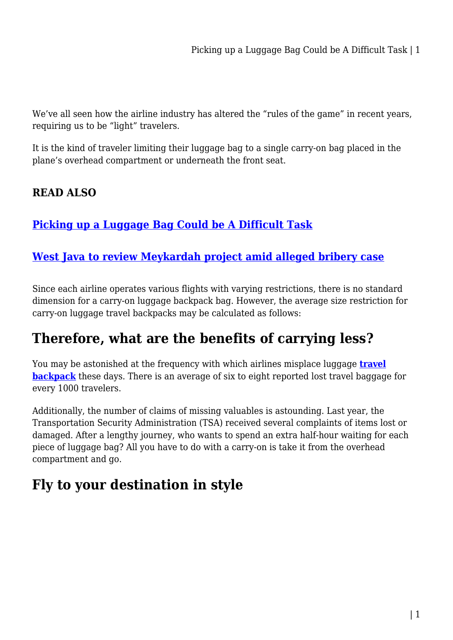We've all seen how the airline industry has altered the "rules of the game" in recent years, requiring us to be "light" travelers.

It is the kind of traveler limiting their luggage bag to a single carry-on bag placed in the plane's overhead compartment or underneath the front seat.

#### **READ ALSO**

#### **[Picking up a Luggage Bag Could be A Difficult Task](https://power-battery.com.au/picking-up-a-luggage-bag-could-be-a-difficult-task/)**

#### **[West Java to review Meykardah project amid alleged bribery case](https://power-battery.com.au/west-java-to-review-meykardah-project-amid-alleged-bribery-case/)**

Since each airline operates various flights with varying restrictions, there is no standard dimension for a carry-on luggage backpack bag. However, the average size restriction for carry-on luggage travel backpacks may be calculated as follows:

## **Therefore, what are the benefits of carrying less?**

You may be astonished at the frequency with which airlines misplace luggage **[travel](https://mattressdiscount.com.au/) [backpack](https://mattressdiscount.com.au/)** these days. There is an average of six to eight reported lost travel baggage for every 1000 travelers.

Additionally, the number of claims of missing valuables is astounding. Last year, the Transportation Security Administration (TSA) received several complaints of items lost or damaged. After a lengthy journey, who wants to spend an extra half-hour waiting for each piece of luggage bag? All you have to do with a carry-on is take it from the overhead compartment and go.

## **Fly to your destination in style**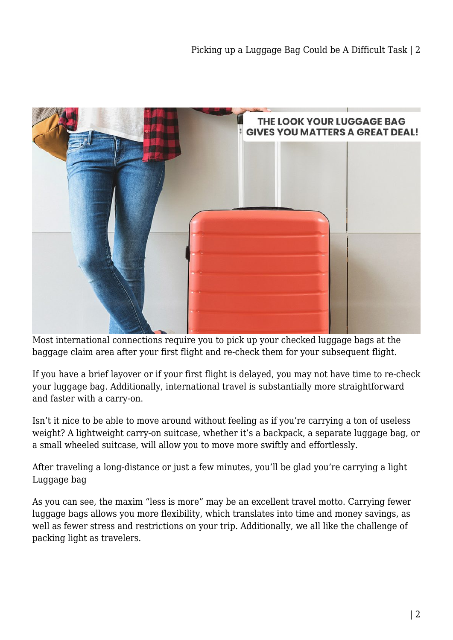

Most international connections require you to pick up your checked luggage bags at the baggage claim area after your first flight and re-check them for your subsequent flight.

If you have a brief layover or if your first flight is delayed, you may not have time to re-check your luggage bag. Additionally, international travel is substantially more straightforward and faster with a carry-on.

Isn't it nice to be able to move around without feeling as if you're carrying a ton of useless weight? A lightweight carry-on suitcase, whether it's a backpack, a separate luggage bag, or a small wheeled suitcase, will allow you to move more swiftly and effortlessly.

After traveling a long-distance or just a few minutes, you'll be glad you're carrying a light Luggage bag

As you can see, the maxim "less is more" may be an excellent travel motto. Carrying fewer luggage bags allows you more flexibility, which translates into time and money savings, as well as fewer stress and restrictions on your trip. Additionally, we all like the challenge of packing light as travelers.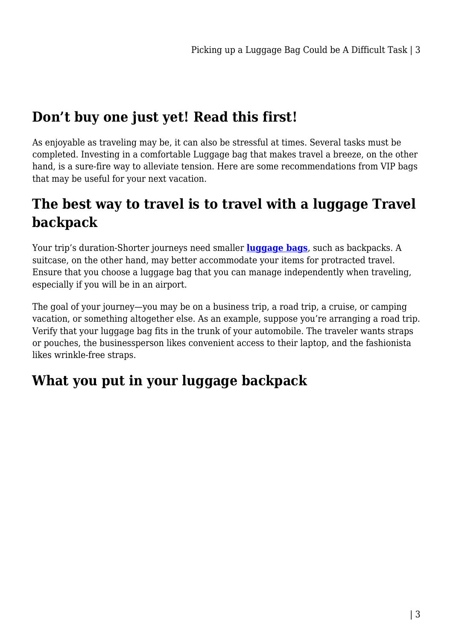# **Don't buy one just yet! Read this first!**

As enjoyable as traveling may be, it can also be stressful at times. Several tasks must be completed. Investing in a comfortable Luggage bag that makes travel a breeze, on the other hand, is a sure-fire way to alleviate tension. Here are some recommendations from VIP bags that may be useful for your next vacation.

# **The best way to travel is to travel with a luggage Travel backpack**

Your trip's duration-Shorter journeys need smaller **[luggage bags](https://mattressdiscount.com.au/travel-bag/luggage-bag/)**, such as backpacks. A suitcase, on the other hand, may better accommodate your items for protracted travel. Ensure that you choose a luggage bag that you can manage independently when traveling, especially if you will be in an airport.

The goal of your journey—you may be on a business trip, a road trip, a cruise, or camping vacation, or something altogether else. As an example, suppose you're arranging a road trip. Verify that your luggage bag fits in the trunk of your automobile. The traveler wants straps or pouches, the businessperson likes convenient access to their laptop, and the fashionista likes wrinkle-free straps.

## **What you put in your luggage backpack**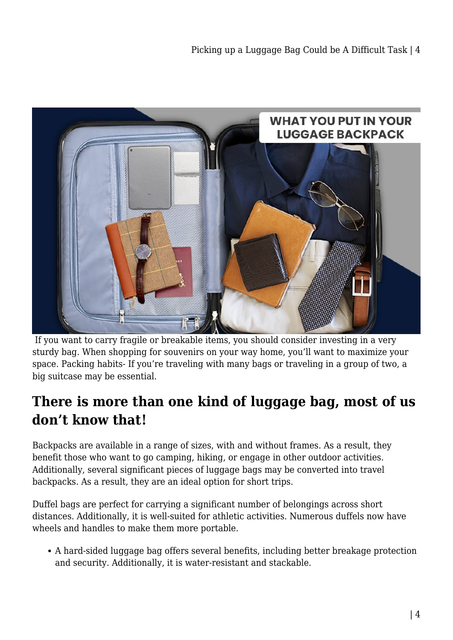

 If you want to carry fragile or breakable items, you should consider investing in a very sturdy bag. When shopping for souvenirs on your way home, you'll want to maximize your space. Packing habits- If you're traveling with many bags or traveling in a group of two, a big suitcase may be essential.

## **There is more than one kind of luggage bag, most of us don't know that!**

Backpacks are available in a range of sizes, with and without frames. As a result, they benefit those who want to go camping, hiking, or engage in other outdoor activities. Additionally, several significant pieces of luggage bags may be converted into travel backpacks. As a result, they are an ideal option for short trips.

Duffel bags are perfect for carrying a significant number of belongings across short distances. Additionally, it is well-suited for athletic activities. Numerous duffels now have wheels and handles to make them more portable.

A hard-sided luggage bag offers several benefits, including better breakage protection and security. Additionally, it is water-resistant and stackable.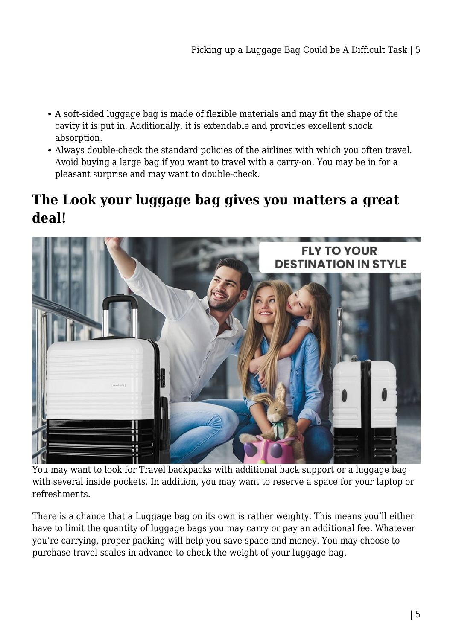- A soft-sided luggage bag is made of flexible materials and may fit the shape of the cavity it is put in. Additionally, it is extendable and provides excellent shock absorption.
- Always double-check the standard policies of the airlines with which you often travel. Avoid buying a large bag if you want to travel with a carry-on. You may be in for a pleasant surprise and may want to double-check.

## **The Look your luggage bag gives you matters a great deal!**



You may want to look for Travel backpacks with additional back support or a luggage bag with several inside pockets. In addition, you may want to reserve a space for your laptop or refreshments.

There is a chance that a Luggage bag on its own is rather weighty. This means you'll either have to limit the quantity of luggage bags you may carry or pay an additional fee. Whatever you're carrying, proper packing will help you save space and money. You may choose to purchase travel scales in advance to check the weight of your luggage bag.